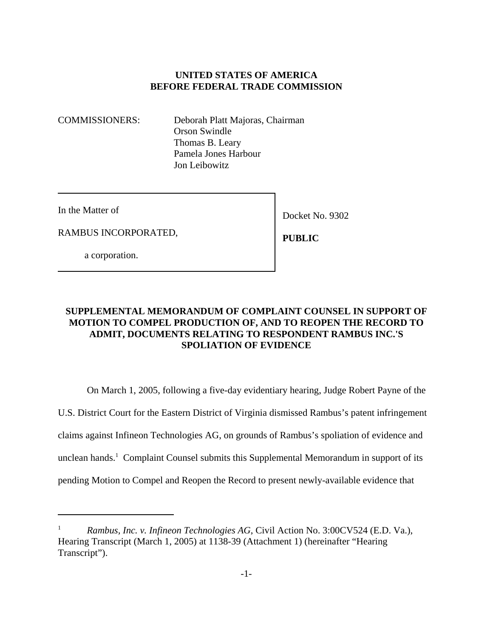## **UNITED STATES OF AMERICA BEFORE FEDERAL TRADE COMMISSION**

COMMISSIONERS: Deborah Platt Majoras, Chairman Orson Swindle Thomas B. Leary Pamela Jones Harbour Jon Leibowitz

In the Matter of

RAMBUS INCORPORATED,

Docket No. 9302

 **PUBLIC**

a corporation.

# **SUPPLEMENTAL MEMORANDUM OF COMPLAINT COUNSEL IN SUPPORT OF MOTION TO COMPEL PRODUCTION OF, AND TO REOPEN THE RECORD TO ADMIT, DOCUMENTS RELATING TO RESPONDENT RAMBUS INC.'S SPOLIATION OF EVIDENCE**

On March 1, 2005, following a five-day evidentiary hearing, Judge Robert Payne of the U.S. District Court for the Eastern District of Virginia dismissed Rambus's patent infringement claims against Infineon Technologies AG, on grounds of Rambus's spoliation of evidence and unclean hands.<sup>1</sup> Complaint Counsel submits this Supplemental Memorandum in support of its pending Motion to Compel and Reopen the Record to present newly-available evidence that

<sup>1</sup> *Rambus, Inc. v. Infineon Technologies AG*, Civil Action No. 3:00CV524 (E.D. Va.), Hearing Transcript (March 1, 2005) at 1138-39 (Attachment 1) (hereinafter "Hearing Transcript").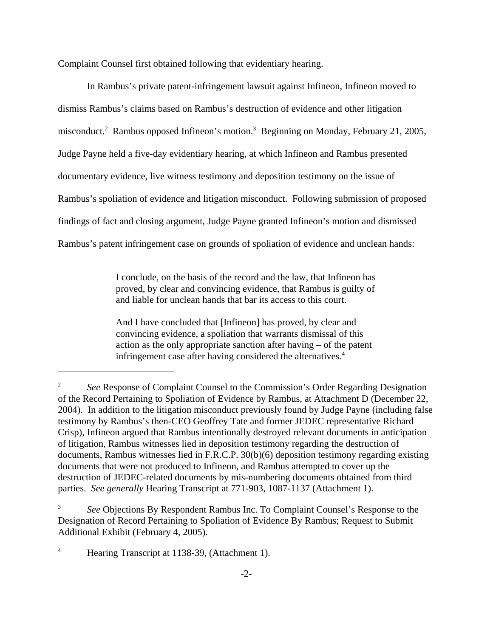Complaint Counsel first obtained following that evidentiary hearing.

In Rambus's private patent-infringement lawsuit against Infineon, Infineon moved to dismiss Rambus's claims based on Rambus's destruction of evidence and other litigation misconduct.<sup>2</sup> Rambus opposed Infineon's motion.<sup>3</sup> Beginning on Monday, February 21, 2005, Judge Payne held a five-day evidentiary hearing, at which Infineon and Rambus presented documentary evidence, live witness testimony and deposition testimony on the issue of Rambus's spoliation of evidence and litigation misconduct. Following submission of proposed findings of fact and closing argument, Judge Payne granted Infineon's motion and dismissed Rambus's patent infringement case on grounds of spoliation of evidence and unclean hands:

> I conclude, on the basis of the record and the law, that Infineon has proved, by clear and convincing evidence, that Rambus is guilty of and liable for unclean hands that bar its access to this court.

And I have concluded that [Infineon] has proved, by clear and convincing evidence, a spoliation that warrants dismissal of this action as the only appropriate sanction after having – of the patent infringement case after having considered the alternatives.<sup>4</sup>

<sup>4</sup> Hearing Transcript at 1138-39, (Attachment 1).

<sup>2</sup> *See* Response of Complaint Counsel to the Commission's Order Regarding Designation of the Record Pertaining to Spoliation of Evidence by Rambus, at Attachment D (December 22, 2004). In addition to the litigation misconduct previously found by Judge Payne (including false testimony by Rambus's then-CEO Geoffrey Tate and former JEDEC representative Richard Crisp), Infineon argued that Rambus intentionally destroyed relevant documents in anticipation of litigation, Rambus witnesses lied in deposition testimony regarding the destruction of documents, Rambus witnesses lied in F.R.C.P. 30(b)(6) deposition testimony regarding existing documents that were not produced to Infineon, and Rambus attempted to cover up the destruction of JEDEC-related documents by mis-numbering documents obtained from third parties. *See generally* Hearing Transcript at 771-903, 1087-1137 (Attachment 1).

<sup>3</sup> *See* Objections By Respondent Rambus Inc. To Complaint Counsel's Response to the Designation of Record Pertaining to Spoliation of Evidence By Rambus; Request to Submit Additional Exhibit (February 4, 2005).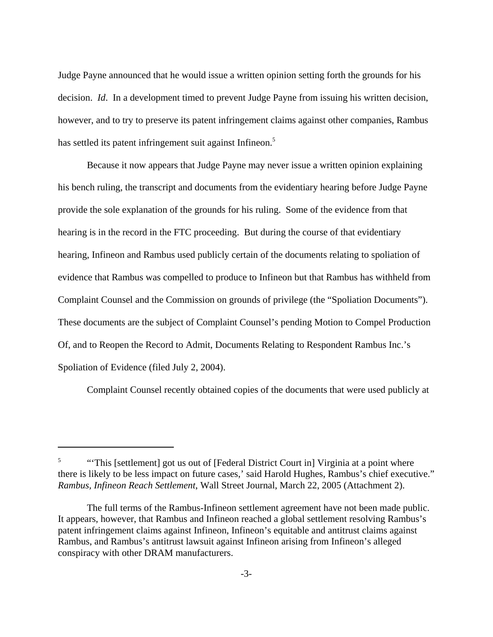Judge Payne announced that he would issue a written opinion setting forth the grounds for his decision. *Id*. In a development timed to prevent Judge Payne from issuing his written decision, however, and to try to preserve its patent infringement claims against other companies, Rambus has settled its patent infringement suit against Infineon.<sup>5</sup>

Because it now appears that Judge Payne may never issue a written opinion explaining his bench ruling, the transcript and documents from the evidentiary hearing before Judge Payne provide the sole explanation of the grounds for his ruling. Some of the evidence from that hearing is in the record in the FTC proceeding. But during the course of that evidentiary hearing, Infineon and Rambus used publicly certain of the documents relating to spoliation of evidence that Rambus was compelled to produce to Infineon but that Rambus has withheld from Complaint Counsel and the Commission on grounds of privilege (the "Spoliation Documents"). These documents are the subject of Complaint Counsel's pending Motion to Compel Production Of, and to Reopen the Record to Admit, Documents Relating to Respondent Rambus Inc.'s Spoliation of Evidence (filed July 2, 2004).

Complaint Counsel recently obtained copies of the documents that were used publicly at

<sup>&</sup>lt;sup>5</sup> "This [settlement] got us out of [Federal District Court in] Virginia at a point where there is likely to be less impact on future cases,' said Harold Hughes, Rambus's chief executive." *Rambus, Infineon Reach Settlement*, Wall Street Journal, March 22, 2005 (Attachment 2).

The full terms of the Rambus-Infineon settlement agreement have not been made public. It appears, however, that Rambus and Infineon reached a global settlement resolving Rambus's patent infringement claims against Infineon, Infineon's equitable and antitrust claims against Rambus, and Rambus's antitrust lawsuit against Infineon arising from Infineon's alleged conspiracy with other DRAM manufacturers.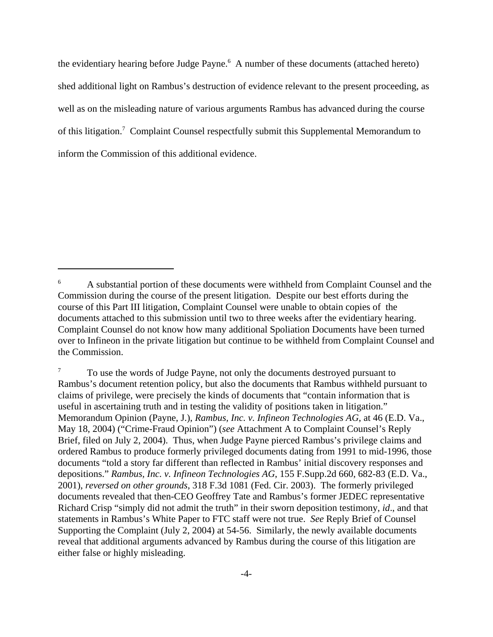the evidentiary hearing before Judge Payne.<sup>6</sup> A number of these documents (attached hereto) shed additional light on Rambus's destruction of evidence relevant to the present proceeding, as well as on the misleading nature of various arguments Rambus has advanced during the course of this litigation.<sup>7</sup> Complaint Counsel respectfully submit this Supplemental Memorandum to inform the Commission of this additional evidence.

<sup>6</sup> A substantial portion of these documents were withheld from Complaint Counsel and the Commission during the course of the present litigation. Despite our best efforts during the course of this Part III litigation, Complaint Counsel were unable to obtain copies of the documents attached to this submission until two to three weeks after the evidentiary hearing. Complaint Counsel do not know how many additional Spoliation Documents have been turned over to Infineon in the private litigation but continue to be withheld from Complaint Counsel and the Commission.

<sup>7</sup> To use the words of Judge Payne, not only the documents destroyed pursuant to Rambus's document retention policy, but also the documents that Rambus withheld pursuant to claims of privilege, were precisely the kinds of documents that "contain information that is useful in ascertaining truth and in testing the validity of positions taken in litigation." Memorandum Opinion (Payne, J.), *Rambus, Inc. v. Infineon Technologies AG*, at 46 (E.D. Va., May 18, 2004) ("Crime-Fraud Opinion") (*see* Attachment A to Complaint Counsel's Reply Brief, filed on July 2, 2004). Thus, when Judge Payne pierced Rambus's privilege claims and ordered Rambus to produce formerly privileged documents dating from 1991 to mid-1996, those documents "told a story far different than reflected in Rambus' initial discovery responses and depositions." *Rambus, Inc. v. Infineon Technologies AG*, 155 F.Supp.2d 660, 682-83 (E.D. Va., 2001), *reversed on other grounds*, 318 F.3d 1081 (Fed. Cir. 2003). The formerly privileged documents revealed that then-CEO Geoffrey Tate and Rambus's former JEDEC representative Richard Crisp "simply did not admit the truth" in their sworn deposition testimony, *id*., and that statements in Rambus's White Paper to FTC staff were not true. *See* Reply Brief of Counsel Supporting the Complaint (July 2, 2004) at 54-56. Similarly, the newly available documents reveal that additional arguments advanced by Rambus during the course of this litigation are either false or highly misleading.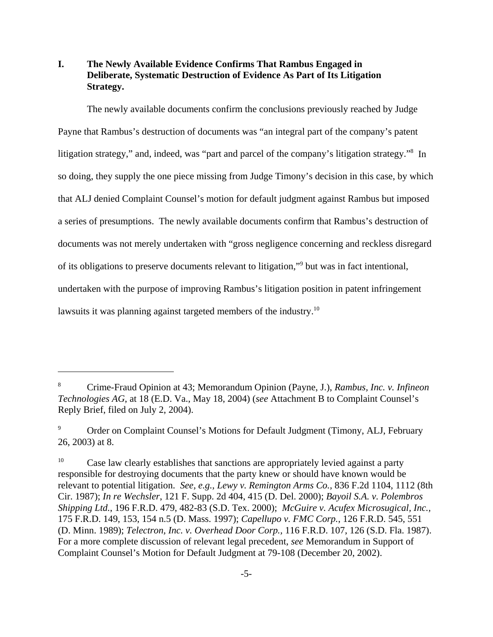# **I. The Newly Available Evidence Confirms That Rambus Engaged in Deliberate, Systematic Destruction of Evidence As Part of Its Litigation Strategy.**

The newly available documents confirm the conclusions previously reached by Judge Payne that Rambus's destruction of documents was "an integral part of the company's patent litigation strategy," and, indeed, was "part and parcel of the company's litigation strategy."<sup>8</sup> In so doing, they supply the one piece missing from Judge Timony's decision in this case, by which that ALJ denied Complaint Counsel's motion for default judgment against Rambus but imposed a series of presumptions. The newly available documents confirm that Rambus's destruction of documents was not merely undertaken with "gross negligence concerning and reckless disregard of its obligations to preserve documents relevant to litigation,"<sup>9</sup> but was in fact intentional, undertaken with the purpose of improving Rambus's litigation position in patent infringement lawsuits it was planning against targeted members of the industry.<sup>10</sup>

<sup>8</sup> Crime-Fraud Opinion at 43; Memorandum Opinion (Payne, J.), *Rambus, Inc. v. Infineon Technologies AG*, at 18 (E.D. Va., May 18, 2004) (*see* Attachment B to Complaint Counsel's Reply Brief, filed on July 2, 2004).

<sup>9</sup> Order on Complaint Counsel's Motions for Default Judgment (Timony, ALJ, February 26, 2003) at 8.

 $10$  Case law clearly establishes that sanctions are appropriately levied against a party responsible for destroying documents that the party knew or should have known would be relevant to potential litigation. *See, e.g., Lewy v. Remington Arms Co.,* 836 F.2d 1104, 1112 (8th Cir. 1987); *In re Wechsler*, 121 F. Supp. 2d 404, 415 (D. Del. 2000); *Bayoil S.A. v. Polembros Shipping Ltd.*, 196 F.R.D. 479, 482-83 (S.D. Tex. 2000); *McGuire v. Acufex Microsugical, Inc.,* 175 F.R.D. 149, 153, 154 n.5 (D. Mass. 1997); *Capellupo v. FMC Corp.*, 126 F.R.D. 545, 551 (D. Minn. 1989); *Telectron, Inc. v. Overhead Door Corp.,* 116 F.R.D. 107, 126 (S.D. Fla. 1987). For a more complete discussion of relevant legal precedent, *see* Memorandum in Support of Complaint Counsel's Motion for Default Judgment at 79-108 (December 20, 2002).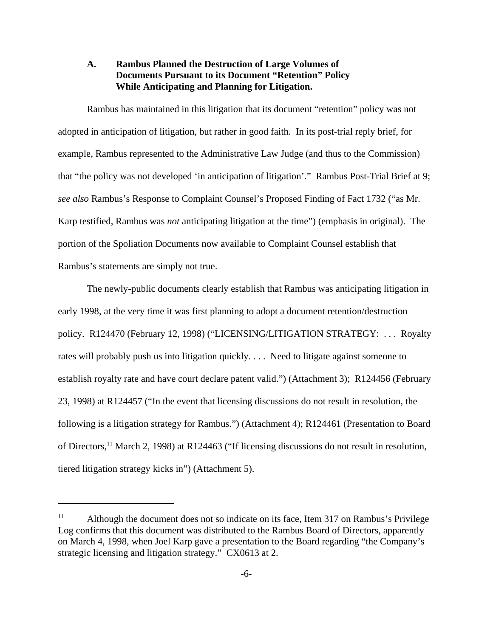## **A. Rambus Planned the Destruction of Large Volumes of Documents Pursuant to its Document "Retention" Policy While Anticipating and Planning for Litigation.**

Rambus has maintained in this litigation that its document "retention" policy was not adopted in anticipation of litigation, but rather in good faith. In its post-trial reply brief, for example, Rambus represented to the Administrative Law Judge (and thus to the Commission) that "the policy was not developed 'in anticipation of litigation'." Rambus Post-Trial Brief at 9; *see also* Rambus's Response to Complaint Counsel's Proposed Finding of Fact 1732 ("as Mr. Karp testified, Rambus was *not* anticipating litigation at the time") (emphasis in original). The portion of the Spoliation Documents now available to Complaint Counsel establish that Rambus's statements are simply not true.

The newly-public documents clearly establish that Rambus was anticipating litigation in early 1998, at the very time it was first planning to adopt a document retention/destruction policy. R124470 (February 12, 1998) ("LICENSING/LITIGATION STRATEGY: . . . Royalty rates will probably push us into litigation quickly. . . . Need to litigate against someone to establish royalty rate and have court declare patent valid.") (Attachment 3); R124456 (February 23, 1998) at R124457 ("In the event that licensing discussions do not result in resolution, the following is a litigation strategy for Rambus.") (Attachment 4); R124461 (Presentation to Board of Directors,11 March 2, 1998) at R124463 ("If licensing discussions do not result in resolution, tiered litigation strategy kicks in") (Attachment 5).

<sup>&</sup>lt;sup>11</sup> Although the document does not so indicate on its face, Item 317 on Rambus's Privilege Log confirms that this document was distributed to the Rambus Board of Directors, apparently on March 4, 1998, when Joel Karp gave a presentation to the Board regarding "the Company's strategic licensing and litigation strategy." CX0613 at 2.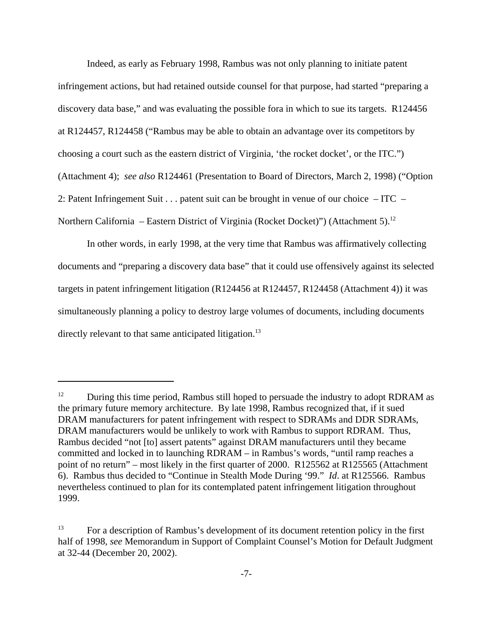Indeed, as early as February 1998, Rambus was not only planning to initiate patent infringement actions, but had retained outside counsel for that purpose, had started "preparing a discovery data base," and was evaluating the possible fora in which to sue its targets. R124456 at R124457, R124458 ("Rambus may be able to obtain an advantage over its competitors by choosing a court such as the eastern district of Virginia, 'the rocket docket', or the ITC.") (Attachment 4); *see also* R124461 (Presentation to Board of Directors, March 2, 1998) ("Option 2: Patent Infringement Suit . . . patent suit can be brought in venue of our choice – ITC – Northern California – Eastern District of Virginia (Rocket Docket)") (Attachment 5).<sup>12</sup>

In other words, in early 1998, at the very time that Rambus was affirmatively collecting documents and "preparing a discovery data base" that it could use offensively against its selected targets in patent infringement litigation (R124456 at R124457, R124458 (Attachment 4)) it was simultaneously planning a policy to destroy large volumes of documents, including documents directly relevant to that same anticipated litigation.<sup>13</sup>

 $12$  During this time period, Rambus still hoped to persuade the industry to adopt RDRAM as the primary future memory architecture. By late 1998, Rambus recognized that, if it sued DRAM manufacturers for patent infringement with respect to SDRAMs and DDR SDRAMs, DRAM manufacturers would be unlikely to work with Rambus to support RDRAM. Thus, Rambus decided "not [to] assert patents" against DRAM manufacturers until they became committed and locked in to launching RDRAM – in Rambus's words, "until ramp reaches a point of no return" – most likely in the first quarter of 2000. R125562 at R125565 (Attachment 6). Rambus thus decided to "Continue in Stealth Mode During '99." *Id*. at R125566. Rambus nevertheless continued to plan for its contemplated patent infringement litigation throughout 1999.

<sup>&</sup>lt;sup>13</sup> For a description of Rambus's development of its document retention policy in the first half of 1998, *see* Memorandum in Support of Complaint Counsel's Motion for Default Judgment at 32-44 (December 20, 2002).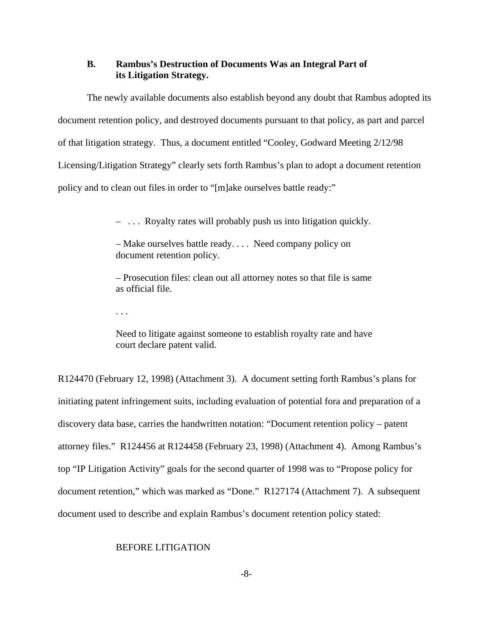### **B. Rambus's Destruction of Documents Was an Integral Part of its Litigation Strategy.**

The newly available documents also establish beyond any doubt that Rambus adopted its document retention policy, and destroyed documents pursuant to that policy, as part and parcel of that litigation strategy. Thus, a document entitled "Cooley, Godward Meeting 2/12/98 Licensing/Litigation Strategy" clearly sets forth Rambus's plan to adopt a document retention policy and to clean out files in order to "[m]ake ourselves battle ready:"

– . . . Royalty rates will probably push us into litigation quickly.

– Make ourselves battle ready. . . . Need company policy on document retention policy.

– Prosecution files: clean out all attorney notes so that file is same as official file.

. . .

Need to litigate against someone to establish royalty rate and have court declare patent valid.

R124470 (February 12, 1998) (Attachment 3). A document setting forth Rambus's plans for initiating patent infringement suits, including evaluation of potential fora and preparation of a discovery data base, carries the handwritten notation: "Document retention policy – patent attorney files." R124456 at R124458 (February 23, 1998) (Attachment 4). Among Rambus's top "IP Litigation Activity" goals for the second quarter of 1998 was to "Propose policy for document retention," which was marked as "Done." R127174 (Attachment 7). A subsequent document used to describe and explain Rambus's document retention policy stated:

### BEFORE LITIGATION

-8-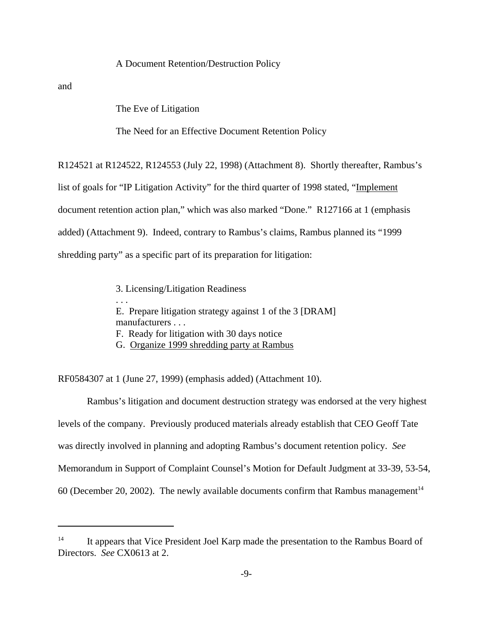#### A Document Retention/Destruction Policy

and

The Eve of Litigation

The Need for an Effective Document Retention Policy

R124521 at R124522, R124553 (July 22, 1998) (Attachment 8). Shortly thereafter, Rambus's list of goals for "IP Litigation Activity" for the third quarter of 1998 stated, "Implement document retention action plan," which was also marked "Done." R127166 at 1 (emphasis added) (Attachment 9). Indeed, contrary to Rambus's claims, Rambus planned its "1999 shredding party" as a specific part of its preparation for litigation:

> 3. Licensing/Litigation Readiness . . . E. Prepare litigation strategy against 1 of the 3 [DRAM] manufacturers . . . F. Ready for litigation with 30 days notice G. Organize 1999 shredding party at Rambus

RF0584307 at 1 (June 27, 1999) (emphasis added) (Attachment 10).

Rambus's litigation and document destruction strategy was endorsed at the very highest levels of the company. Previously produced materials already establish that CEO Geoff Tate was directly involved in planning and adopting Rambus's document retention policy. *See* Memorandum in Support of Complaint Counsel's Motion for Default Judgment at 33-39, 53-54, 60 (December 20, 2002). The newly available documents confirm that Rambus management<sup>14</sup>

<sup>&</sup>lt;sup>14</sup> It appears that Vice President Joel Karp made the presentation to the Rambus Board of Directors. *See* CX0613 at 2.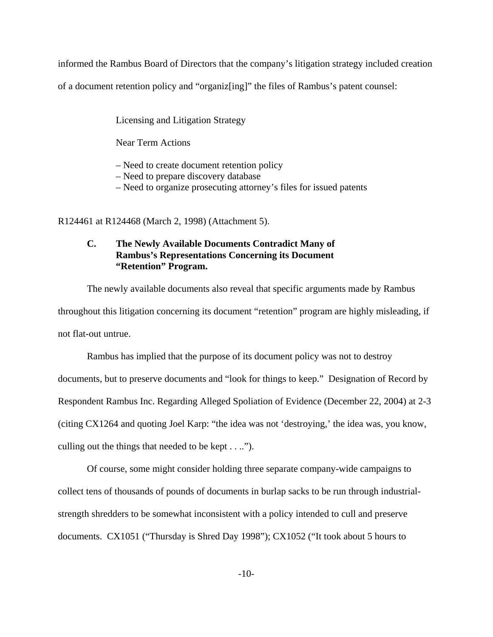informed the Rambus Board of Directors that the company's litigation strategy included creation

of a document retention policy and "organiz[ing]" the files of Rambus's patent counsel:

Licensing and Litigation Strategy

Near Term Actions

– Need to create document retention policy

– Need to prepare discovery database

– Need to organize prosecuting attorney's files for issued patents

R124461 at R124468 (March 2, 1998) (Attachment 5).

### **C. The Newly Available Documents Contradict Many of Rambus's Representations Concerning its Document "Retention" Program.**

The newly available documents also reveal that specific arguments made by Rambus throughout this litigation concerning its document "retention" program are highly misleading, if not flat-out untrue.

Rambus has implied that the purpose of its document policy was not to destroy documents, but to preserve documents and "look for things to keep." Designation of Record by Respondent Rambus Inc. Regarding Alleged Spoliation of Evidence (December 22, 2004) at 2-3 (citing CX1264 and quoting Joel Karp: "the idea was not 'destroying,' the idea was, you know, culling out the things that needed to be kept . . ..").

Of course, some might consider holding three separate company-wide campaigns to collect tens of thousands of pounds of documents in burlap sacks to be run through industrialstrength shredders to be somewhat inconsistent with a policy intended to cull and preserve documents. CX1051 ("Thursday is Shred Day 1998"); CX1052 ("It took about 5 hours to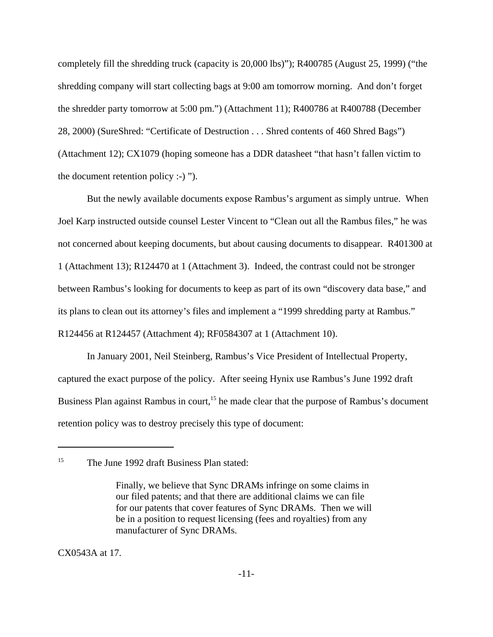completely fill the shredding truck (capacity is 20,000 lbs)"); R400785 (August 25, 1999) ("the shredding company will start collecting bags at 9:00 am tomorrow morning. And don't forget the shredder party tomorrow at 5:00 pm.") (Attachment 11); R400786 at R400788 (December 28, 2000) (SureShred: "Certificate of Destruction . . . Shred contents of 460 Shred Bags") (Attachment 12); CX1079 (hoping someone has a DDR datasheet "that hasn't fallen victim to the document retention policy :-) ").

But the newly available documents expose Rambus's argument as simply untrue. When Joel Karp instructed outside counsel Lester Vincent to "Clean out all the Rambus files," he was not concerned about keeping documents, but about causing documents to disappear. R401300 at 1 (Attachment 13); R124470 at 1 (Attachment 3). Indeed, the contrast could not be stronger between Rambus's looking for documents to keep as part of its own "discovery data base," and its plans to clean out its attorney's files and implement a "1999 shredding party at Rambus." R124456 at R124457 (Attachment 4); RF0584307 at 1 (Attachment 10).

In January 2001, Neil Steinberg, Rambus's Vice President of Intellectual Property, captured the exact purpose of the policy. After seeing Hynix use Rambus's June 1992 draft Business Plan against Rambus in court,<sup>15</sup> he made clear that the purpose of Rambus's document retention policy was to destroy precisely this type of document:

CX0543A at 17.

<sup>&</sup>lt;sup>15</sup> The June 1992 draft Business Plan stated:

Finally, we believe that Sync DRAMs infringe on some claims in our filed patents; and that there are additional claims we can file for our patents that cover features of Sync DRAMs. Then we will be in a position to request licensing (fees and royalties) from any manufacturer of Sync DRAMs.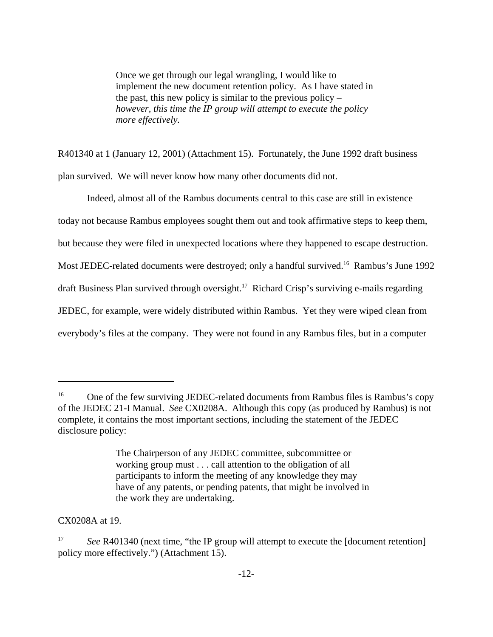Once we get through our legal wrangling, I would like to implement the new document retention policy. As I have stated in the past, this new policy is similar to the previous policy – *however, this time the IP group will attempt to execute the policy more effectively.*

R401340 at 1 (January 12, 2001) (Attachment 15). Fortunately, the June 1992 draft business plan survived. We will never know how many other documents did not.

Indeed, almost all of the Rambus documents central to this case are still in existence today not because Rambus employees sought them out and took affirmative steps to keep them, but because they were filed in unexpected locations where they happened to escape destruction. Most JEDEC-related documents were destroyed; only a handful survived.<sup>16</sup> Rambus's June 1992 draft Business Plan survived through oversight.<sup>17</sup> Richard Crisp's surviving e-mails regarding JEDEC, for example, were widely distributed within Rambus. Yet they were wiped clean from everybody's files at the company. They were not found in any Rambus files, but in a computer

CX0208A at 19.

<sup>&</sup>lt;sup>16</sup> One of the few surviving JEDEC-related documents from Rambus files is Rambus's copy of the JEDEC 21-I Manual. *See* CX0208A. Although this copy (as produced by Rambus) is not complete, it contains the most important sections, including the statement of the JEDEC disclosure policy:

The Chairperson of any JEDEC committee, subcommittee or working group must . . . call attention to the obligation of all participants to inform the meeting of any knowledge they may have of any patents, or pending patents, that might be involved in the work they are undertaking.

See R401340 (next time, "the IP group will attempt to execute the [document retention] policy more effectively.") (Attachment 15).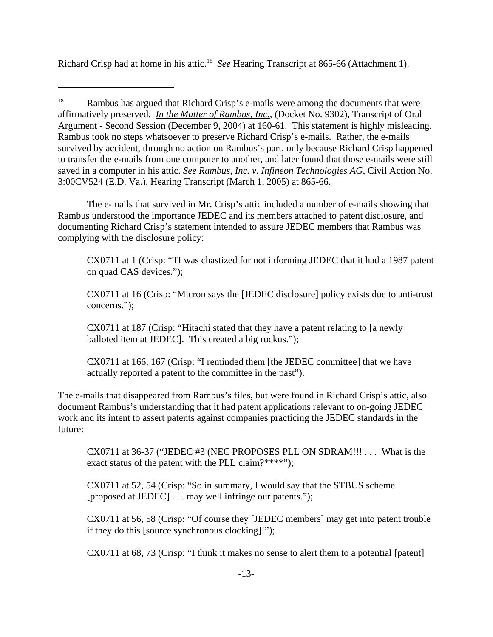Richard Crisp had at home in his attic.18 *See* Hearing Transcript at 865-66 (Attachment 1).

The e-mails that survived in Mr. Crisp's attic included a number of e-mails showing that Rambus understood the importance JEDEC and its members attached to patent disclosure, and documenting Richard Crisp's statement intended to assure JEDEC members that Rambus was complying with the disclosure policy:

CX0711 at 1 (Crisp: "TI was chastized for not informing JEDEC that it had a 1987 patent on quad CAS devices.");

CX0711 at 16 (Crisp: "Micron says the [JEDEC disclosure] policy exists due to anti-trust concerns.");

CX0711 at 187 (Crisp: "Hitachi stated that they have a patent relating to [a newly balloted item at JEDEC]. This created a big ruckus.");

CX0711 at 166, 167 (Crisp: "I reminded them [the JEDEC committee] that we have actually reported a patent to the committee in the past").

The e-mails that disappeared from Rambus's files, but were found in Richard Crisp's attic, also document Rambus's understanding that it had patent applications relevant to on-going JEDEC work and its intent to assert patents against companies practicing the JEDEC standards in the future:

CX0711 at 36-37 ("JEDEC #3 (NEC PROPOSES PLL ON SDRAM!!! . . . What is the exact status of the patent with the PLL claim?\*\*\*\*");

CX0711 at 52, 54 (Crisp: "So in summary, I would say that the STBUS scheme [proposed at JEDEC] . . . may well infringe our patents.");

CX0711 at 56, 58 (Crisp: "Of course they [JEDEC members] may get into patent trouble if they do this [source synchronous clocking]!");

CX0711 at 68, 73 (Crisp: "I think it makes no sense to alert them to a potential [patent]

<sup>&</sup>lt;sup>18</sup> Rambus has argued that Richard Crisp's e-mails were among the documents that were affirmatively preserved. *In the Matter of Rambus, Inc.*, (Docket No. 9302), Transcript of Oral Argument - Second Session (December 9, 2004) at 160-61. This statement is highly misleading. Rambus took no steps whatsoever to preserve Richard Crisp's e-mails. Rather, the e-mails survived by accident, through no action on Rambus's part, only because Richard Crisp happened to transfer the e-mails from one computer to another, and later found that those e-mails were still saved in a computer in his attic. *See Rambus, Inc. v. Infineon Technologies AG*, Civil Action No. 3:00CV524 (E.D. Va.), Hearing Transcript (March 1, 2005) at 865-66.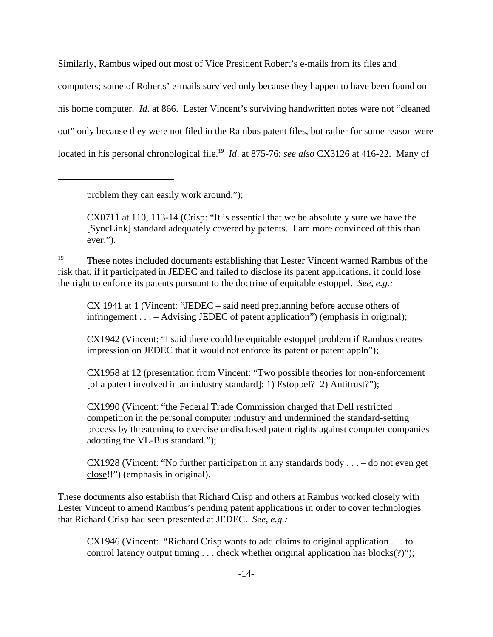Similarly, Rambus wiped out most of Vice President Robert's e-mails from its files and computers; some of Roberts' e-mails survived only because they happen to have been found on his home computer. *Id*. at 866. Lester Vincent's surviving handwritten notes were not "cleaned out" only because they were not filed in the Rambus patent files, but rather for some reason were located in his personal chronological file.<sup>19</sup> *Id.* at 875-76; *see also* CX3126 at 416-22. Many of

problem they can easily work around.");

CX0711 at 110, 113-14 (Crisp: "It is essential that we be absolutely sure we have the [SyncLink] standard adequately covered by patents. I am more convinced of this than ever.").

<sup>19</sup> These notes included documents establishing that Lester Vincent warned Rambus of the risk that, if it participated in JEDEC and failed to disclose its patent applications, it could lose the right to enforce its patents pursuant to the doctrine of equitable estoppel. *See, e.g.:*

CX 1941 at 1 (Vincent: "JEDEC – said need preplanning before accuse others of infringement . . . – Advising JEDEC of patent application") (emphasis in original);

CX1942 (Vincent: "I said there could be equitable estoppel problem if Rambus creates impression on JEDEC that it would not enforce its patent or patent appln");

CX1958 at 12 (presentation from Vincent: "Two possible theories for non-enforcement [of a patent involved in an industry standard]: 1) Estoppel? 2) Antitrust?");

CX1990 (Vincent: "the Federal Trade Commission charged that Dell restricted competition in the personal computer industry and undermined the standard-setting process by threatening to exercise undisclosed patent rights against computer companies adopting the VL-Bus standard.");

CX1928 (Vincent: "No further participation in any standards body . . . – do not even get close!!") (emphasis in original).

These documents also establish that Richard Crisp and others at Rambus worked closely with Lester Vincent to amend Rambus's pending patent applications in order to cover technologies that Richard Crisp had seen presented at JEDEC. *See, e.g.:*

CX1946 (Vincent: "Richard Crisp wants to add claims to original application . . . to control latency output timing . . . check whether original application has blocks(?)");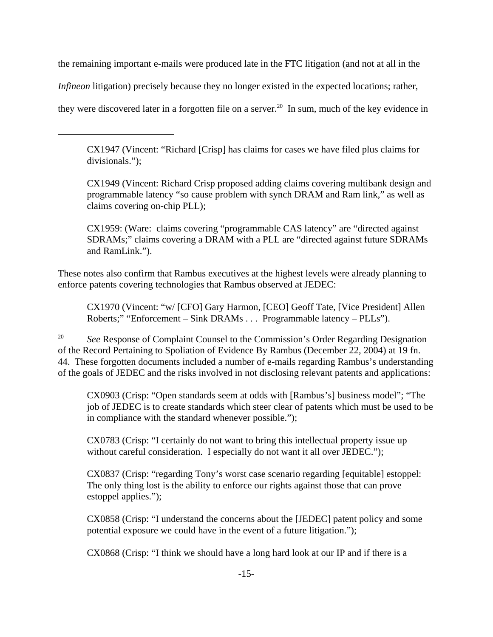the remaining important e-mails were produced late in the FTC litigation (and not at all in the

*Infineon* litigation) precisely because they no longer existed in the expected locations; rather,

they were discovered later in a forgotten file on a server.<sup>20</sup> In sum, much of the key evidence in

CX1947 (Vincent: "Richard [Crisp] has claims for cases we have filed plus claims for divisionals.");

CX1949 (Vincent: Richard Crisp proposed adding claims covering multibank design and programmable latency "so cause problem with synch DRAM and Ram link," as well as claims covering on-chip PLL);

CX1959: (Ware: claims covering "programmable CAS latency" are "directed against SDRAMs;" claims covering a DRAM with a PLL are "directed against future SDRAMs and RamLink.").

These notes also confirm that Rambus executives at the highest levels were already planning to enforce patents covering technologies that Rambus observed at JEDEC:

CX1970 (Vincent: "w/ [CFO] Gary Harmon, [CEO] Geoff Tate, [Vice President] Allen Roberts;" "Enforcement – Sink DRAMs . . . Programmable latency – PLLs").

<sup>20</sup> *See* Response of Complaint Counsel to the Commission's Order Regarding Designation of the Record Pertaining to Spoliation of Evidence By Rambus (December 22, 2004) at 19 fn. 44. These forgotten documents included a number of e-mails regarding Rambus's understanding of the goals of JEDEC and the risks involved in not disclosing relevant patents and applications:

CX0903 (Crisp: "Open standards seem at odds with [Rambus's] business model"; "The job of JEDEC is to create standards which steer clear of patents which must be used to be in compliance with the standard whenever possible.");

CX0783 (Crisp: "I certainly do not want to bring this intellectual property issue up without careful consideration. I especially do not want it all over JEDEC.");

CX0837 (Crisp: "regarding Tony's worst case scenario regarding [equitable] estoppel: The only thing lost is the ability to enforce our rights against those that can prove estoppel applies.");

CX0858 (Crisp: "I understand the concerns about the [JEDEC] patent policy and some potential exposure we could have in the event of a future litigation.");

CX0868 (Crisp: "I think we should have a long hard look at our IP and if there is a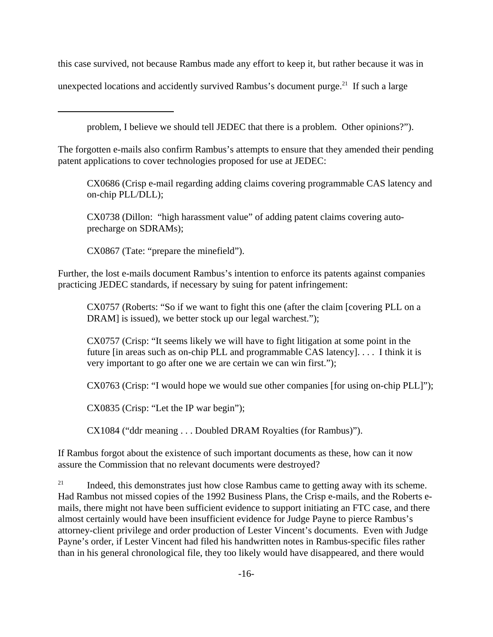this case survived, not because Rambus made any effort to keep it, but rather because it was in

unexpected locations and accidently survived Rambus's document purge.<sup>21</sup> If such a large

problem, I believe we should tell JEDEC that there is a problem. Other opinions?").

The forgotten e-mails also confirm Rambus's attempts to ensure that they amended their pending patent applications to cover technologies proposed for use at JEDEC:

CX0686 (Crisp e-mail regarding adding claims covering programmable CAS latency and on-chip PLL/DLL);

CX0738 (Dillon: "high harassment value" of adding patent claims covering autoprecharge on SDRAMs);

CX0867 (Tate: "prepare the minefield").

Further, the lost e-mails document Rambus's intention to enforce its patents against companies practicing JEDEC standards, if necessary by suing for patent infringement:

CX0757 (Roberts: "So if we want to fight this one (after the claim [covering PLL on a DRAM] is issued), we better stock up our legal warchest.");

CX0757 (Crisp: "It seems likely we will have to fight litigation at some point in the future [in areas such as on-chip PLL and programmable CAS latency]. . . . I think it is very important to go after one we are certain we can win first.");

CX0763 (Crisp: "I would hope we would sue other companies [for using on-chip PLL]");

CX0835 (Crisp: "Let the IP war begin");

CX1084 ("ddr meaning . . . Doubled DRAM Royalties (for Rambus)").

If Rambus forgot about the existence of such important documents as these, how can it now assure the Commission that no relevant documents were destroyed?

 $21$  Indeed, this demonstrates just how close Rambus came to getting away with its scheme. Had Rambus not missed copies of the 1992 Business Plans, the Crisp e-mails, and the Roberts emails, there might not have been sufficient evidence to support initiating an FTC case, and there almost certainly would have been insufficient evidence for Judge Payne to pierce Rambus's attorney-client privilege and order production of Lester Vincent's documents. Even with Judge Payne's order, if Lester Vincent had filed his handwritten notes in Rambus-specific files rather than in his general chronological file, they too likely would have disappeared, and there would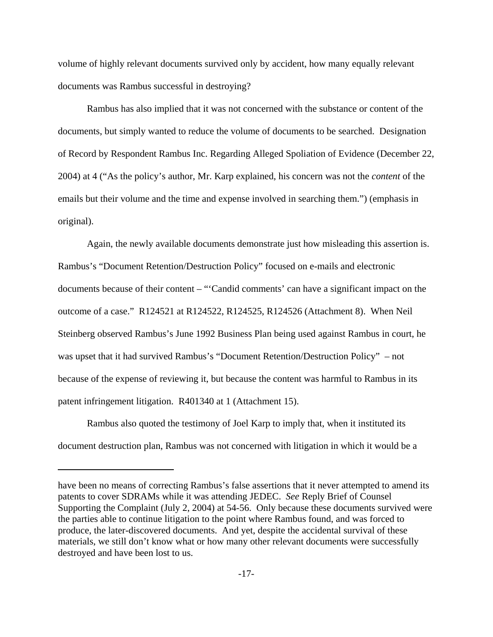volume of highly relevant documents survived only by accident, how many equally relevant documents was Rambus successful in destroying?

Rambus has also implied that it was not concerned with the substance or content of the documents, but simply wanted to reduce the volume of documents to be searched. Designation of Record by Respondent Rambus Inc. Regarding Alleged Spoliation of Evidence (December 22, 2004) at 4 ("As the policy's author, Mr. Karp explained, his concern was not the *content* of the emails but their volume and the time and expense involved in searching them.") (emphasis in original).

Again, the newly available documents demonstrate just how misleading this assertion is. Rambus's "Document Retention/Destruction Policy" focused on e-mails and electronic documents because of their content – "'Candid comments' can have a significant impact on the outcome of a case." R124521 at R124522, R124525, R124526 (Attachment 8). When Neil Steinberg observed Rambus's June 1992 Business Plan being used against Rambus in court, he was upset that it had survived Rambus's "Document Retention/Destruction Policy" – not because of the expense of reviewing it, but because the content was harmful to Rambus in its patent infringement litigation. R401340 at 1 (Attachment 15).

Rambus also quoted the testimony of Joel Karp to imply that, when it instituted its document destruction plan, Rambus was not concerned with litigation in which it would be a

have been no means of correcting Rambus's false assertions that it never attempted to amend its patents to cover SDRAMs while it was attending JEDEC. *See* Reply Brief of Counsel Supporting the Complaint (July 2, 2004) at 54-56. Only because these documents survived were the parties able to continue litigation to the point where Rambus found, and was forced to produce, the later-discovered documents. And yet, despite the accidental survival of these materials, we still don't know what or how many other relevant documents were successfully destroyed and have been lost to us.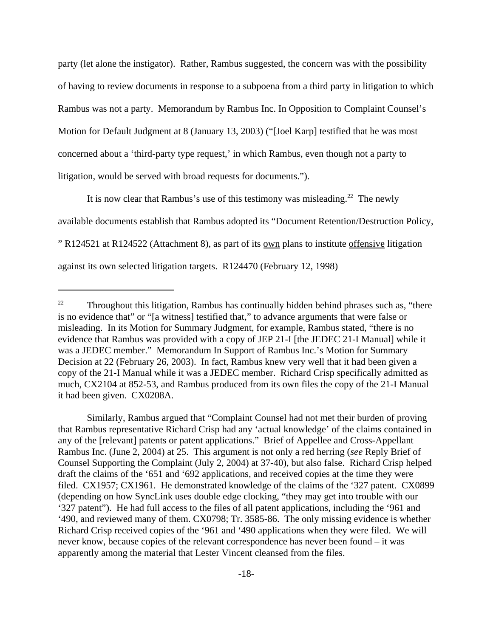party (let alone the instigator). Rather, Rambus suggested, the concern was with the possibility of having to review documents in response to a subpoena from a third party in litigation to which Rambus was not a party. Memorandum by Rambus Inc. In Opposition to Complaint Counsel's Motion for Default Judgment at 8 (January 13, 2003) ("[Joel Karp] testified that he was most concerned about a 'third-party type request,' in which Rambus, even though not a party to litigation, would be served with broad requests for documents.").

It is now clear that Rambus's use of this testimony was misleading.<sup>22</sup> The newly available documents establish that Rambus adopted its "Document Retention/Destruction Policy, " R124521 at R124522 (Attachment 8), as part of its own plans to institute offensive litigation against its own selected litigation targets. R124470 (February 12, 1998)

Similarly, Rambus argued that "Complaint Counsel had not met their burden of proving that Rambus representative Richard Crisp had any 'actual knowledge' of the claims contained in any of the [relevant] patents or patent applications." Brief of Appellee and Cross-Appellant Rambus Inc. (June 2, 2004) at 25. This argument is not only a red herring (*see* Reply Brief of Counsel Supporting the Complaint (July 2, 2004) at 37-40), but also false. Richard Crisp helped draft the claims of the '651 and '692 applications, and received copies at the time they were filed. CX1957; CX1961. He demonstrated knowledge of the claims of the '327 patent. CX0899 (depending on how SyncLink uses double edge clocking, "they may get into trouble with our '327 patent"). He had full access to the files of all patent applications, including the '961 and '490, and reviewed many of them. CX0798; Tr. 3585-86. The only missing evidence is whether Richard Crisp received copies of the '961 and '490 applications when they were filed. We will never know, because copies of the relevant correspondence has never been found – it was apparently among the material that Lester Vincent cleansed from the files.

 $22$  Throughout this litigation, Rambus has continually hidden behind phrases such as, "there is no evidence that" or "[a witness] testified that," to advance arguments that were false or misleading. In its Motion for Summary Judgment, for example, Rambus stated, "there is no evidence that Rambus was provided with a copy of JEP 21-I [the JEDEC 21-I Manual] while it was a JEDEC member." Memorandum In Support of Rambus Inc.'s Motion for Summary Decision at 22 (February 26, 2003). In fact, Rambus knew very well that it had been given a copy of the 21-I Manual while it was a JEDEC member. Richard Crisp specifically admitted as much, CX2104 at 852-53, and Rambus produced from its own files the copy of the 21-I Manual it had been given. CX0208A.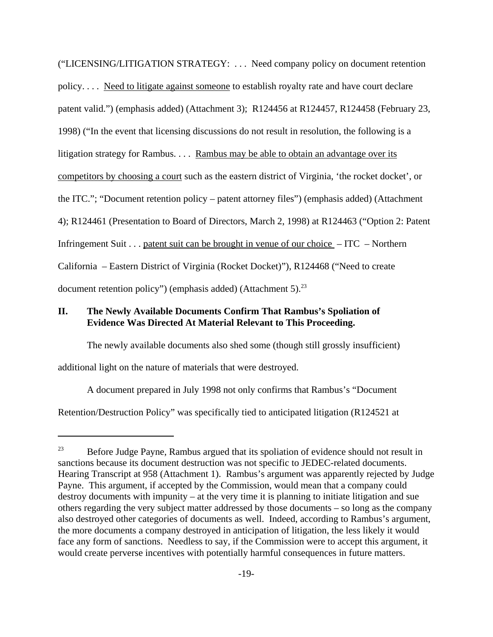("LICENSING/LITIGATION STRATEGY: . . . Need company policy on document retention policy. . . . Need to litigate against someone to establish royalty rate and have court declare patent valid.") (emphasis added) (Attachment 3); R124456 at R124457, R124458 (February 23, 1998) ("In the event that licensing discussions do not result in resolution, the following is a litigation strategy for Rambus. . . . <u>Rambus may be able to obtain an advantage over its</u> competitors by choosing a court such as the eastern district of Virginia, 'the rocket docket', or the ITC."; "Document retention policy – patent attorney files") (emphasis added) (Attachment 4); R124461 (Presentation to Board of Directors, March 2, 1998) at R124463 ("Option 2: Patent Infringement Suit . . . patent suit can be brought in venue of our choice – ITC – Northern California – Eastern District of Virginia (Rocket Docket)"), R124468 ("Need to create document retention policy") (emphasis added) (Attachment 5). $^{23}$ 

## **II. The Newly Available Documents Confirm That Rambus's Spoliation of Evidence Was Directed At Material Relevant to This Proceeding.**

The newly available documents also shed some (though still grossly insufficient)

additional light on the nature of materials that were destroyed.

A document prepared in July 1998 not only confirms that Rambus's "Document

Retention/Destruction Policy" was specifically tied to anticipated litigation (R124521 at

 $23$  Before Judge Payne, Rambus argued that its spoliation of evidence should not result in sanctions because its document destruction was not specific to JEDEC-related documents. Hearing Transcript at 958 (Attachment 1). Rambus's argument was apparently rejected by Judge Payne. This argument, if accepted by the Commission, would mean that a company could destroy documents with impunity – at the very time it is planning to initiate litigation and sue others regarding the very subject matter addressed by those documents – so long as the company also destroyed other categories of documents as well. Indeed, according to Rambus's argument, the more documents a company destroyed in anticipation of litigation, the less likely it would face any form of sanctions. Needless to say, if the Commission were to accept this argument, it would create perverse incentives with potentially harmful consequences in future matters.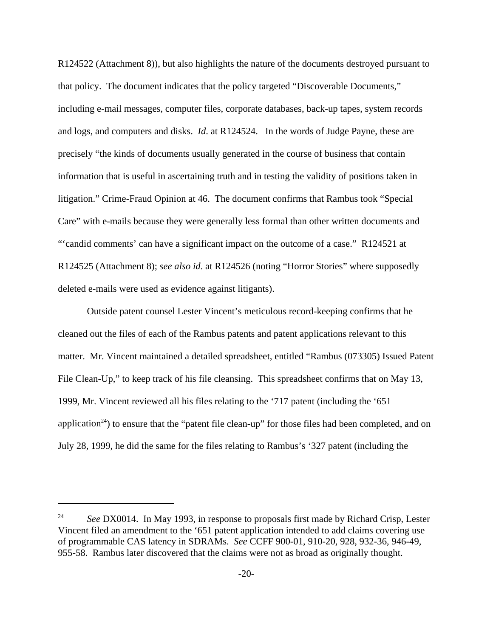R124522 (Attachment 8)), but also highlights the nature of the documents destroyed pursuant to that policy. The document indicates that the policy targeted "Discoverable Documents," including e-mail messages, computer files, corporate databases, back-up tapes, system records and logs, and computers and disks. *Id*. at R124524. In the words of Judge Payne, these are precisely "the kinds of documents usually generated in the course of business that contain information that is useful in ascertaining truth and in testing the validity of positions taken in litigation." Crime-Fraud Opinion at 46. The document confirms that Rambus took "Special Care" with e-mails because they were generally less formal than other written documents and "'candid comments' can have a significant impact on the outcome of a case." R124521 at R124525 (Attachment 8); *see also id*. at R124526 (noting "Horror Stories" where supposedly deleted e-mails were used as evidence against litigants).

Outside patent counsel Lester Vincent's meticulous record-keeping confirms that he cleaned out the files of each of the Rambus patents and patent applications relevant to this matter. Mr. Vincent maintained a detailed spreadsheet, entitled "Rambus (073305) Issued Patent File Clean-Up," to keep track of his file cleansing. This spreadsheet confirms that on May 13, 1999, Mr. Vincent reviewed all his files relating to the '717 patent (including the '651 application<sup>24</sup>) to ensure that the "patent file clean-up" for those files had been completed, and on July 28, 1999, he did the same for the files relating to Rambus's '327 patent (including the

<sup>&</sup>lt;sup>24</sup> *See* DX0014. In May 1993, in response to proposals first made by Richard Crisp, Lester Vincent filed an amendment to the '651 patent application intended to add claims covering use of programmable CAS latency in SDRAMs. *See* CCFF 900-01, 910-20, 928, 932-36, 946-49, 955-58. Rambus later discovered that the claims were not as broad as originally thought.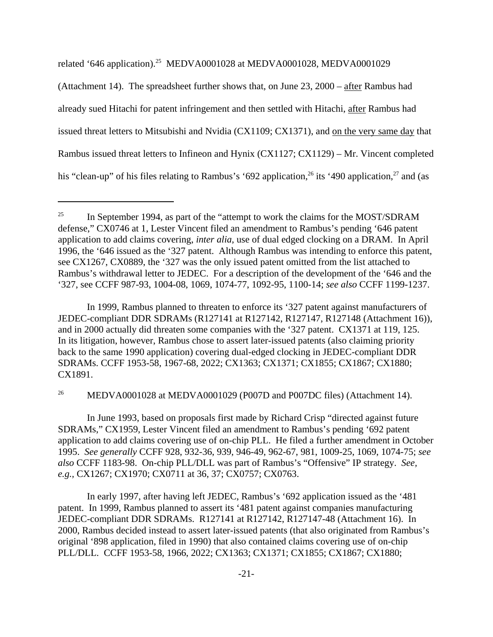related '646 application).25 MEDVA0001028 at MEDVA0001028, MEDVA0001029

(Attachment 14). The spreadsheet further shows that, on June 23, 2000 – after Rambus had already sued Hitachi for patent infringement and then settled with Hitachi, after Rambus had issued threat letters to Mitsubishi and Nvidia (CX1109; CX1371), and on the very same day that Rambus issued threat letters to Infineon and Hynix (CX1127; CX1129) – Mr. Vincent completed his "clean-up" of his files relating to Rambus's '692 application,  $^{26}$  its '490 application,  $^{27}$  and (as

In 1999, Rambus planned to threaten to enforce its '327 patent against manufacturers of JEDEC-compliant DDR SDRAMs (R127141 at R127142, R127147, R127148 (Attachment 16)), and in 2000 actually did threaten some companies with the '327 patent. CX1371 at 119, 125. In its litigation, however, Rambus chose to assert later-issued patents (also claiming priority back to the same 1990 application) covering dual-edged clocking in JEDEC-compliant DDR SDRAMs. CCFF 1953-58, 1967-68, 2022; CX1363; CX1371; CX1855; CX1867; CX1880; CX1891.

<sup>26</sup> MEDVA0001028 at MEDVA0001029 (P007D and P007DC files) (Attachment 14).

In June 1993, based on proposals first made by Richard Crisp "directed against future SDRAMs," CX1959, Lester Vincent filed an amendment to Rambus's pending '692 patent application to add claims covering use of on-chip PLL. He filed a further amendment in October 1995. *See generally* CCFF 928, 932-36, 939, 946-49, 962-67, 981, 1009-25, 1069, 1074-75; *see also* CCFF 1183-98. On-chip PLL/DLL was part of Rambus's "Offensive" IP strategy. *See, e.g.,* CX1267; CX1970; CX0711 at 36, 37; CX0757; CX0763.

In early 1997, after having left JEDEC, Rambus's '692 application issued as the '481 patent. In 1999, Rambus planned to assert its '481 patent against companies manufacturing JEDEC-compliant DDR SDRAMs. R127141 at R127142, R127147-48 (Attachment 16). In 2000, Rambus decided instead to assert later-issued patents (that also originated from Rambus's original '898 application, filed in 1990) that also contained claims covering use of on-chip PLL/DLL. CCFF 1953-58, 1966, 2022; CX1363; CX1371; CX1855; CX1867; CX1880;

<sup>&</sup>lt;sup>25</sup> In September 1994, as part of the "attempt to work the claims for the MOST/SDRAM defense," CX0746 at 1, Lester Vincent filed an amendment to Rambus's pending '646 patent application to add claims covering, *inter alia*, use of dual edged clocking on a DRAM. In April 1996, the '646 issued as the '327 patent. Although Rambus was intending to enforce this patent, see CX1267, CX0889, the '327 was the only issued patent omitted from the list attached to Rambus's withdrawal letter to JEDEC. For a description of the development of the '646 and the '327, see CCFF 987-93, 1004-08, 1069, 1074-77, 1092-95, 1100-14; *see also* CCFF 1199-1237.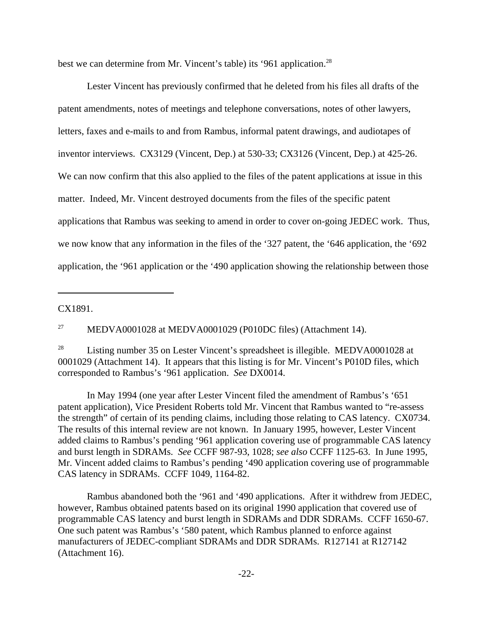best we can determine from Mr. Vincent's table) its '961 application.<sup>28</sup>

Lester Vincent has previously confirmed that he deleted from his files all drafts of the patent amendments, notes of meetings and telephone conversations, notes of other lawyers, letters, faxes and e-mails to and from Rambus, informal patent drawings, and audiotapes of inventor interviews. CX3129 (Vincent, Dep.) at 530-33; CX3126 (Vincent, Dep.) at 425-26. We can now confirm that this also applied to the files of the patent applications at issue in this matter. Indeed, Mr. Vincent destroyed documents from the files of the specific patent applications that Rambus was seeking to amend in order to cover on-going JEDEC work. Thus, we now know that any information in the files of the '327 patent, the '646 application, the '692 application, the '961 application or the '490 application showing the relationship between those

CX1891.

<sup>27</sup> MEDVA0001028 at MEDVA0001029 (P010DC files) (Attachment 14).

<sup>28</sup> Listing number 35 on Lester Vincent's spreadsheet is illegible. MEDVA0001028 at 0001029 (Attachment 14). It appears that this listing is for Mr. Vincent's P010D files, which corresponded to Rambus's '961 application. *See* DX0014.

In May 1994 (one year after Lester Vincent filed the amendment of Rambus's '651 patent application), Vice President Roberts told Mr. Vincent that Rambus wanted to "re-assess the strength" of certain of its pending claims, including those relating to CAS latency. CX0734. The results of this internal review are not known. In January 1995, however, Lester Vincent added claims to Rambus's pending '961 application covering use of programmable CAS latency and burst length in SDRAMs. *See* CCFF 987-93, 1028; *see also* CCFF 1125-63. In June 1995, Mr. Vincent added claims to Rambus's pending '490 application covering use of programmable CAS latency in SDRAMs. CCFF 1049, 1164-82.

Rambus abandoned both the '961 and '490 applications. After it withdrew from JEDEC, however, Rambus obtained patents based on its original 1990 application that covered use of programmable CAS latency and burst length in SDRAMs and DDR SDRAMs. CCFF 1650-67. One such patent was Rambus's '580 patent, which Rambus planned to enforce against manufacturers of JEDEC-compliant SDRAMs and DDR SDRAMs. R127141 at R127142 (Attachment 16).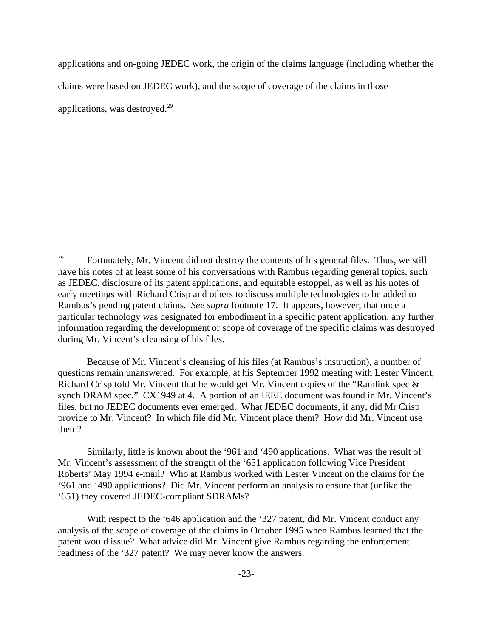applications and on-going JEDEC work, the origin of the claims language (including whether the claims were based on JEDEC work), and the scope of coverage of the claims in those applications, was destroyed. $29$ 

Because of Mr. Vincent's cleansing of his files (at Rambus's instruction), a number of questions remain unanswered. For example, at his September 1992 meeting with Lester Vincent, Richard Crisp told Mr. Vincent that he would get Mr. Vincent copies of the "Ramlink spec & synch DRAM spec." CX1949 at 4. A portion of an IEEE document was found in Mr. Vincent's files, but no JEDEC documents ever emerged. What JEDEC documents, if any, did Mr Crisp provide to Mr. Vincent? In which file did Mr. Vincent place them? How did Mr. Vincent use them?

Similarly, little is known about the '961 and '490 applications. What was the result of Mr. Vincent's assessment of the strength of the '651 application following Vice President Roberts' May 1994 e-mail? Who at Rambus worked with Lester Vincent on the claims for the '961 and '490 applications? Did Mr. Vincent perform an analysis to ensure that (unlike the '651) they covered JEDEC-compliant SDRAMs?

With respect to the '646 application and the '327 patent, did Mr. Vincent conduct any analysis of the scope of coverage of the claims in October 1995 when Rambus learned that the patent would issue? What advice did Mr. Vincent give Rambus regarding the enforcement readiness of the '327 patent? We may never know the answers.

<sup>&</sup>lt;sup>29</sup> Fortunately, Mr. Vincent did not destroy the contents of his general files. Thus, we still have his notes of at least some of his conversations with Rambus regarding general topics, such as JEDEC, disclosure of its patent applications, and equitable estoppel, as well as his notes of early meetings with Richard Crisp and others to discuss multiple technologies to be added to Rambus's pending patent claims. *See supra* footnote 17. It appears, however, that once a particular technology was designated for embodiment in a specific patent application, any further information regarding the development or scope of coverage of the specific claims was destroyed during Mr. Vincent's cleansing of his files.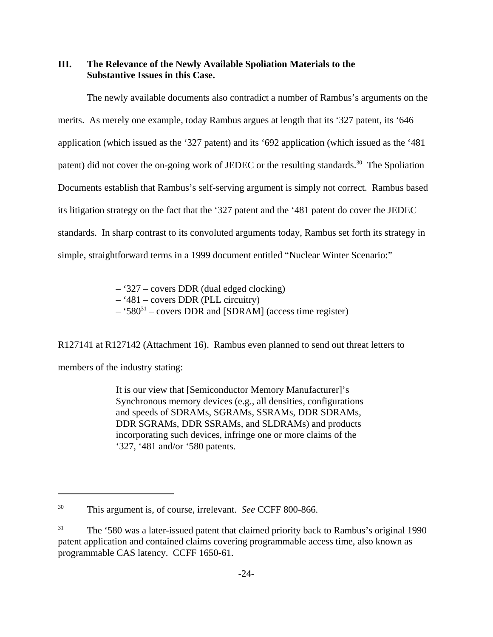### **III. The Relevance of the Newly Available Spoliation Materials to the Substantive Issues in this Case.**

The newly available documents also contradict a number of Rambus's arguments on the merits. As merely one example, today Rambus argues at length that its '327 patent, its '646 application (which issued as the '327 patent) and its '692 application (which issued as the '481 patent) did not cover the on-going work of JEDEC or the resulting standards.<sup>30</sup> The Spoliation Documents establish that Rambus's self-serving argument is simply not correct. Rambus based its litigation strategy on the fact that the '327 patent and the '481 patent do cover the JEDEC standards. In sharp contrast to its convoluted arguments today, Rambus set forth its strategy in simple, straightforward terms in a 1999 document entitled "Nuclear Winter Scenario:"

> – '327 – covers DDR (dual edged clocking) – '481 – covers DDR (PLL circuitry)  $-$  '580<sup>31</sup> – covers DDR and [SDRAM] (access time register)

R127141 at R127142 (Attachment 16). Rambus even planned to send out threat letters to

members of the industry stating:

It is our view that [Semiconductor Memory Manufacturer]'s Synchronous memory devices (e.g., all densities, configurations and speeds of SDRAMs, SGRAMs, SSRAMs, DDR SDRAMs, DDR SGRAMs, DDR SSRAMs, and SLDRAMs) and products incorporating such devices, infringe one or more claims of the '327, '481 and/or '580 patents.

<sup>30</sup> This argument is, of course, irrelevant. *See* CCFF 800-866.

<sup>&</sup>lt;sup>31</sup> The '580 was a later-issued patent that claimed priority back to Rambus's original 1990 patent application and contained claims covering programmable access time, also known as programmable CAS latency. CCFF 1650-61.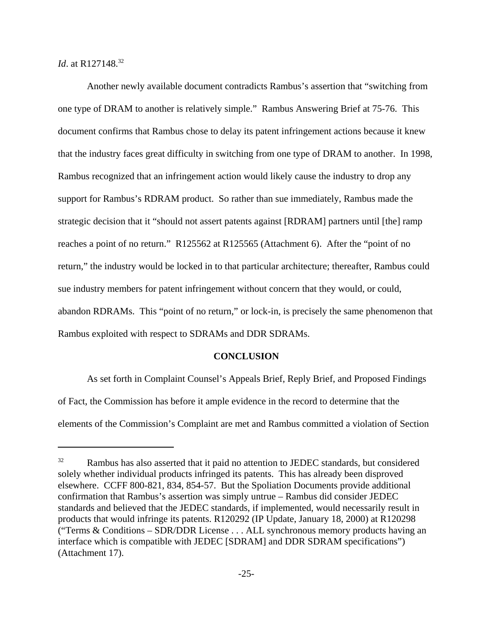*Id.* at R127148.<sup>32</sup>

Another newly available document contradicts Rambus's assertion that "switching from one type of DRAM to another is relatively simple." Rambus Answering Brief at 75-76. This document confirms that Rambus chose to delay its patent infringement actions because it knew that the industry faces great difficulty in switching from one type of DRAM to another. In 1998, Rambus recognized that an infringement action would likely cause the industry to drop any support for Rambus's RDRAM product. So rather than sue immediately, Rambus made the strategic decision that it "should not assert patents against [RDRAM] partners until [the] ramp reaches a point of no return." R125562 at R125565 (Attachment 6). After the "point of no return," the industry would be locked in to that particular architecture; thereafter, Rambus could sue industry members for patent infringement without concern that they would, or could, abandon RDRAMs. This "point of no return," or lock-in, is precisely the same phenomenon that Rambus exploited with respect to SDRAMs and DDR SDRAMs.

### **CONCLUSION**

As set forth in Complaint Counsel's Appeals Brief, Reply Brief, and Proposed Findings of Fact, the Commission has before it ample evidence in the record to determine that the elements of the Commission's Complaint are met and Rambus committed a violation of Section

<sup>&</sup>lt;sup>32</sup> Rambus has also asserted that it paid no attention to JEDEC standards, but considered solely whether individual products infringed its patents. This has already been disproved elsewhere. CCFF 800-821, 834, 854-57. But the Spoliation Documents provide additional confirmation that Rambus's assertion was simply untrue – Rambus did consider JEDEC standards and believed that the JEDEC standards, if implemented, would necessarily result in products that would infringe its patents. R120292 (IP Update, January 18, 2000) at R120298 ("Terms & Conditions – SDR/DDR License . . . ALL synchronous memory products having an interface which is compatible with JEDEC [SDRAM] and DDR SDRAM specifications") (Attachment 17).